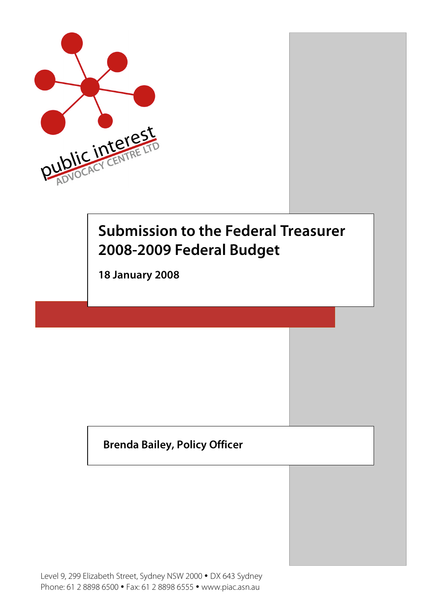

# **Submission to the Federal Treasurer 2008-2009 Federal Budget**

**18 January 2008**

## **Brenda Bailey, Policy Officer**

Level 9, 299 Elizabeth Street, Sydney NSW 2000 • DX 643 Sydney Phone: 61 2 8898 6500 • Fax: 61 2 8898 6555 • www.piac.asn.au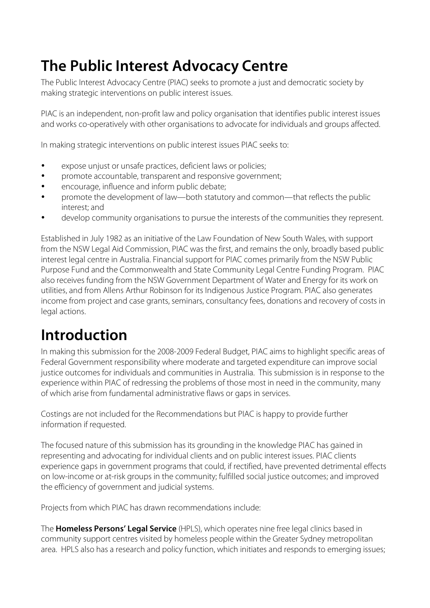# **The Public Interest Advocacy Centre**

The Public Interest Advocacy Centre (PIAC) seeks to promote a just and democratic society by making strategic interventions on public interest issues.

PIAC is an independent, non-profit law and policy organisation that identifies public interest issues and works co-operatively with other organisations to advocate for individuals and groups affected.

In making strategic interventions on public interest issues PIAC seeks to:

- expose unjust or unsafe practices, deficient laws or policies;
- promote accountable, transparent and responsive government;
- encourage, influence and inform public debate;
- promote the development of law—both statutory and common—that reflects the public interest; and
- develop community organisations to pursue the interests of the communities they represent.

Established in July 1982 as an initiative of the Law Foundation of New South Wales, with support from the NSW Legal Aid Commission, PIAC was the first, and remains the only, broadly based public interest legal centre in Australia. Financial support for PIAC comes primarily from the NSW Public Purpose Fund and the Commonwealth and State Community Legal Centre Funding Program. PIAC also receives funding from the NSW Government Department of Water and Energy for its work on utilities, and from Allens Arthur Robinson for its Indigenous Justice Program. PIAC also generates income from project and case grants, seminars, consultancy fees, donations and recovery of costs in legal actions.

# **Introduction**

In making this submission for the 2008-2009 Federal Budget, PIAC aims to highlight specific areas of Federal Government responsibility where moderate and targeted expenditure can improve social justice outcomes for individuals and communities in Australia. This submission is in response to the experience within PIAC of redressing the problems of those most in need in the community, many of which arise from fundamental administrative flaws or gaps in services.

Costings are not included for the Recommendations but PIAC is happy to provide further information if requested.

The focused nature of this submission has its grounding in the knowledge PIAC has gained in representing and advocating for individual clients and on public interest issues. PIAC clients experience gaps in government programs that could, if rectified, have prevented detrimental effects on low-income or at-risk groups in the community; fulfilled social justice outcomes; and improved the efficiency of government and judicial systems.

Projects from which PIAC has drawn recommendations include:

The **Homeless Persons' Legal Service** (HPLS), which operates nine free legal clinics based in community support centres visited by homeless people within the Greater Sydney metropolitan area. HPLS also has a research and policy function, which initiates and responds to emerging issues;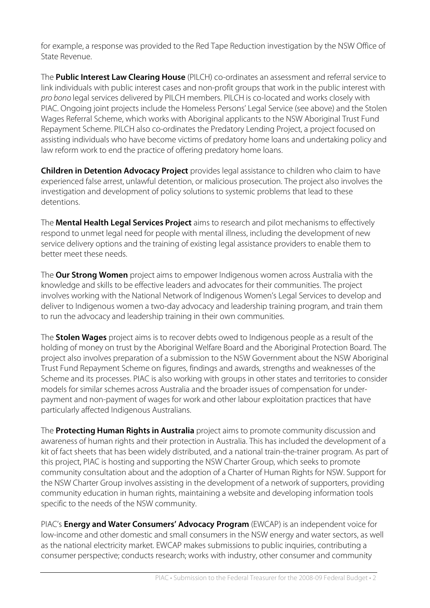for example, a response was provided to the Red Tape Reduction investigation by the NSW Office of State Revenue.

The **Public Interest Law Clearing House** (PILCH) co-ordinates an assessment and referral service to link individuals with public interest cases and non-profit groups that work in the public interest with pro bono legal services delivered by PILCH members. PILCH is co-located and works closely with PIAC. Ongoing joint projects include the Homeless Persons' Legal Service (see above) and the Stolen Wages Referral Scheme, which works with Aboriginal applicants to the NSW Aboriginal Trust Fund Repayment Scheme. PILCH also co-ordinates the Predatory Lending Project, a project focused on assisting individuals who have become victims of predatory home loans and undertaking policy and law reform work to end the practice of offering predatory home loans.

**Children in Detention Advocacy Project** provides legal assistance to children who claim to have experienced false arrest, unlawful detention, or malicious prosecution. The project also involves the investigation and development of policy solutions to systemic problems that lead to these detentions.

The **Mental Health Legal Services Project** aims to research and pilot mechanisms to effectively respond to unmet legal need for people with mental illness, including the development of new service delivery options and the training of existing legal assistance providers to enable them to better meet these needs.

The **Our Strong Women** project aims to empower Indigenous women across Australia with the knowledge and skills to be effective leaders and advocates for their communities. The project involves working with the National Network of Indigenous Women's Legal Services to develop and deliver to Indigenous women a two-day advocacy and leadership training program, and train them to run the advocacy and leadership training in their own communities.

The **Stolen Wages** project aims is to recover debts owed to Indigenous people as a result of the holding of money on trust by the Aboriginal Welfare Board and the Aboriginal Protection Board. The project also involves preparation of a submission to the NSW Government about the NSW Aboriginal Trust Fund Repayment Scheme on figures, findings and awards, strengths and weaknesses of the Scheme and its processes. PIAC is also working with groups in other states and territories to consider models for similar schemes across Australia and the broader issues of compensation for underpayment and non-payment of wages for work and other labour exploitation practices that have particularly affected Indigenous Australians.

The **Protecting Human Rights in Australia** project aims to promote community discussion and awareness of human rights and their protection in Australia. This has included the development of a kit of fact sheets that has been widely distributed, and a national train-the-trainer program. As part of this project, PIAC is hosting and supporting the NSW Charter Group, which seeks to promote community consultation about and the adoption of a Charter of Human Rights for NSW. Support for the NSW Charter Group involves assisting in the development of a network of supporters, providing community education in human rights, maintaining a website and developing information tools specific to the needs of the NSW community.

PIAC's **Energy and Water Consumers' Advocacy Program** (EWCAP) is an independent voice for low-income and other domestic and small consumers in the NSW energy and water sectors, as well as the national electricity market. EWCAP makes submissions to public inquiries, contributing a consumer perspective; conducts research; works with industry, other consumer and community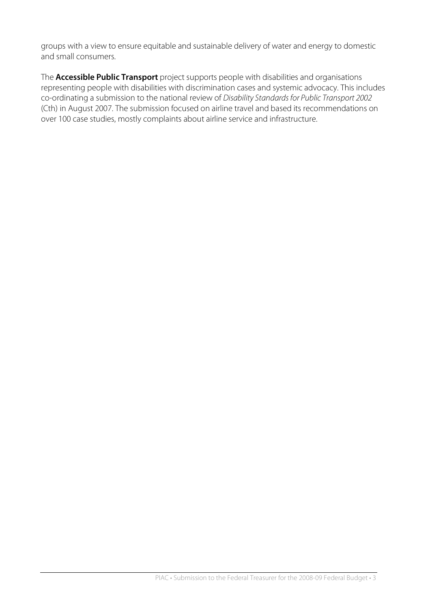groups with a view to ensure equitable and sustainable delivery of water and energy to domestic and small consumers.

The **Accessible Public Transport** project supports people with disabilities and organisations representing people with disabilities with discrimination cases and systemic advocacy. This includes co-ordinating a submission to the national review of Disability Standards for Public Transport 2002 (Cth) in August 2007. The submission focused on airline travel and based its recommendations on over 100 case studies, mostly complaints about airline service and infrastructure.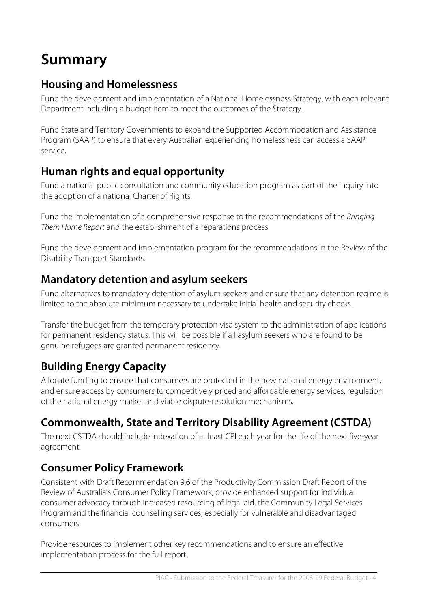# **Summary**

## **Housing and Homelessness**

Fund the development and implementation of a National Homelessness Strategy, with each relevant Department including a budget item to meet the outcomes of the Strategy.

Fund State and Territory Governments to expand the Supported Accommodation and Assistance Program (SAAP) to ensure that every Australian experiencing homelessness can access a SAAP service.

## **Human rights and equal opportunity**

Fund a national public consultation and community education program as part of the inquiry into the adoption of a national Charter of Rights.

Fund the implementation of a comprehensive response to the recommendations of the Bringing Them Home Report and the establishment of a reparations process.

Fund the development and implementation program for the recommendations in the Review of the Disability Transport Standards.

### **Mandatory detention and asylum seekers**

Fund alternatives to mandatory detention of asylum seekers and ensure that any detention regime is limited to the absolute minimum necessary to undertake initial health and security checks.

Transfer the budget from the temporary protection visa system to the administration of applications for permanent residency status. This will be possible if all asylum seekers who are found to be genuine refugees are granted permanent residency.

## **Building Energy Capacity**

Allocate funding to ensure that consumers are protected in the new national energy environment, and ensure access by consumers to competitively priced and affordable energy services, regulation of the national energy market and viable dispute-resolution mechanisms.

## **Commonwealth, State and Territory Disability Agreement (CSTDA)**

The next CSTDA should include indexation of at least CPI each year for the life of the next five-year agreement.

## **Consumer Policy Framework**

Consistent with Draft Recommendation 9.6 of the Productivity Commission Draft Report of the Review of Australia's Consumer Policy Framework, provide enhanced support for individual consumer advocacy through increased resourcing of legal aid, the Community Legal Services Program and the financial counselling services, especially for vulnerable and disadvantaged consumers.

Provide resources to implement other key recommendations and to ensure an effective implementation process for the full report.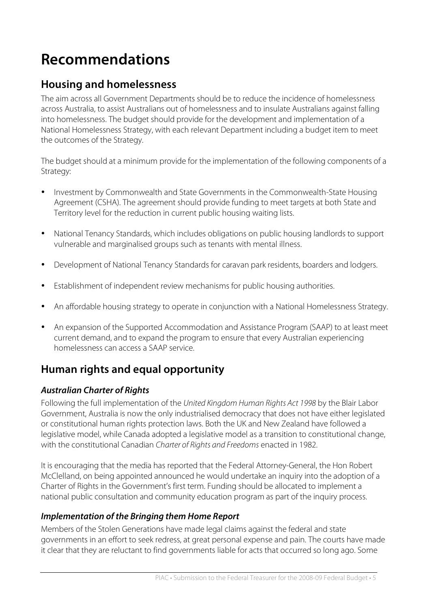# **Recommendations**

### **Housing and homelessness**

The aim across all Government Departments should be to reduce the incidence of homelessness across Australia, to assist Australians out of homelessness and to insulate Australians against falling into homelessness. The budget should provide for the development and implementation of a National Homelessness Strategy, with each relevant Department including a budget item to meet the outcomes of the Strategy.

The budget should at a minimum provide for the implementation of the following components of a Strategy:

- Investment by Commonwealth and State Governments in the Commonwealth-State Housing Agreement (CSHA). The agreement should provide funding to meet targets at both State and Territory level for the reduction in current public housing waiting lists.
- National Tenancy Standards, which includes obligations on public housing landlords to support vulnerable and marginalised groups such as tenants with mental illness.
- Development of National Tenancy Standards for caravan park residents, boarders and lodgers.
- Establishment of independent review mechanisms for public housing authorities.
- An affordable housing strategy to operate in conjunction with a National Homelessness Strategy.
- An expansion of the Supported Accommodation and Assistance Program (SAAP) to at least meet current demand, and to expand the program to ensure that every Australian experiencing homelessness can access a SAAP service.

### **Human rights and equal opportunity**

#### **Australian Charter of Rights**

Following the full implementation of the United Kingdom Human Rights Act 1998 by the Blair Labor Government, Australia is now the only industrialised democracy that does not have either legislated or constitutional human rights protection laws. Both the UK and New Zealand have followed a legislative model, while Canada adopted a legislative model as a transition to constitutional change, with the constitutional Canadian Charter of Rights and Freedoms enacted in 1982.

It is encouraging that the media has reported that the Federal Attorney-General, the Hon Robert McClelland, on being appointed announced he would undertake an inquiry into the adoption of a Charter of Rights in the Government's first term. Funding should be allocated to implement a national public consultation and community education program as part of the inquiry process.

#### **Implementation of the Bringing them Home Report**

Members of the Stolen Generations have made legal claims against the federal and state governments in an effort to seek redress, at great personal expense and pain. The courts have made it clear that they are reluctant to find governments liable for acts that occurred so long ago. Some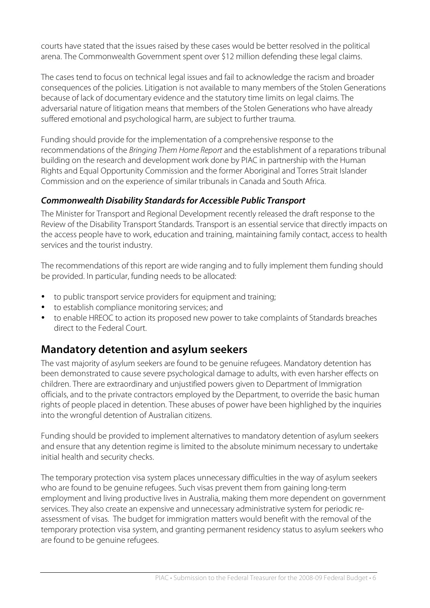courts have stated that the issues raised by these cases would be better resolved in the political arena. The Commonwealth Government spent over \$12 million defending these legal claims.

The cases tend to focus on technical legal issues and fail to acknowledge the racism and broader consequences of the policies. Litigation is not available to many members of the Stolen Generations because of lack of documentary evidence and the statutory time limits on legal claims. The adversarial nature of litigation means that members of the Stolen Generations who have already suffered emotional and psychological harm, are subject to further trauma.

Funding should provide for the implementation of a comprehensive response to the recommendations of the Bringing Them Home Report and the establishment of a reparations tribunal building on the research and development work done by PIAC in partnership with the Human Rights and Equal Opportunity Commission and the former Aboriginal and Torres Strait Islander Commission and on the experience of similar tribunals in Canada and South Africa.

#### **Commonwealth Disability Standardsfor Accessible Public Transport**

The Minister for Transport and Regional Development recently released the draft response to the Review of the Disability Transport Standards. Transport is an essential service that directly impacts on the access people have to work, education and training, maintaining family contact, access to health services and the tourist industry.

The recommendations of this report are wide ranging and to fully implement them funding should be provided. In particular, funding needs to be allocated:

- to public transport service providers for equipment and training;
- to establish compliance monitoring services; and
- to enable HREOC to action its proposed new power to take complaints of Standards breaches direct to the Federal Court.

### **Mandatory detention and asylum seekers**

The vast majority of asylum seekers are found to be genuine refugees. Mandatory detention has been demonstrated to cause severe psychological damage to adults, with even harsher effects on children. There are extraordinary and unjustified powers given to Department of Immigration officials, and to the private contractors employed by the Department, to override the basic human rights of people placed in detention. These abuses of power have been highlighed by the inquiries into the wrongful detention of Australian citizens.

Funding should be provided to implement alternatives to mandatory detention of asylum seekers and ensure that any detention regime is limited to the absolute minimum necessary to undertake initial health and security checks.

The temporary protection visa system places unnecessary difficulties in the way of asylum seekers who are found to be genuine refugees. Such visas prevent them from gaining long-term employment and living productive lives in Australia, making them more dependent on government services. They also create an expensive and unnecessary administrative system for periodic reassessment of visas. The budget for immigration matters would benefit with the removal of the temporary protection visa system, and granting permanent residency status to asylum seekers who are found to be genuine refugees.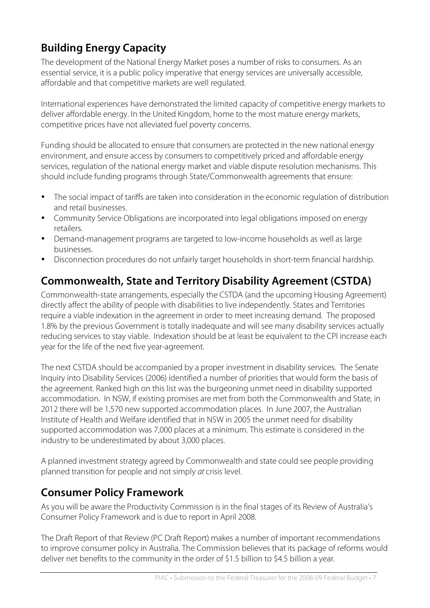# **Building Energy Capacity**

The development of the National Energy Market poses a number of risks to consumers. As an essential service, it is a public policy imperative that energy services are universally accessible, affordable and that competitive markets are well regulated.

International experiences have demonstrated the limited capacity of competitive energy markets to deliver affordable energy. In the United Kingdom, home to the most mature energy markets, competitive prices have not alleviated fuel poverty concerns.

Funding should be allocated to ensure that consumers are protected in the new national energy environment, and ensure access by consumers to competitively priced and affordable energy services, regulation of the national energy market and viable dispute resolution mechanisms. This should include funding programs through State/Commonwealth agreements that ensure:

- The social impact of tariffs are taken into consideration in the economic regulation of distribution and retail businesses.
- Community Service Obligations are incorporated into legal obligations imposed on energy retailers.
- Demand-management programs are targeted to low-income households as well as large businesses.
- Disconnection procedures do not unfairly target households in short-term financial hardship.

## **Commonwealth, State and Territory Disability Agreement (CSTDA)**

Commonwealth-state arrangements, especially the CSTDA (and the upcoming Housing Agreement) directly affect the ability of people with disabilities to live independently. States and Territories require a viable indexation in the agreement in order to meet increasing demand. The proposed 1.8% by the previous Government is totally inadequate and will see many disability services actually reducing services to stay viable. Indexation should be at least be equivalent to the CPI increase each year for the life of the next five year-agreement.

The next CSTDA should be accompanied by a proper investment in disability services. The Senate Inquiry into Disability Services (2006) identified a number of priorities that would form the basis of the agreement. Ranked high on this list was the burgeoning unmet need in disability supported accommodation. In NSW, if existing promises are met from both the Commonwealth and State, in 2012 there will be 1,570 new supported accommodation places. In June 2007, the Australian Institute of Health and Welfare identified that in NSW in 2005 the unmet need for disability supported accommodation was 7,000 places at a minimum. This estimate is considered in the industry to be underestimated by about 3,000 places.

A planned investment strategy agreed by Commonwealth and state could see people providing planned transition for people and not simply at crisis level.

### **Consumer Policy Framework**

As you will be aware the Productivity Commission is in the final stages of its Review of Australia's Consumer Policy Framework and is due to report in April 2008.

The Draft Report of that Review (PC Draft Report) makes a number of important recommendations to improve consumer policy in Australia. The Commission believes that its package of reforms would deliver net benefits to the community in the order of \$1.5 billion to \$4.5 billion a year.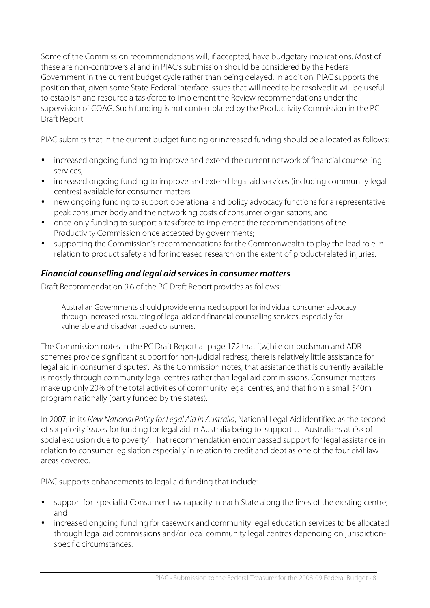Some of the Commission recommendations will, if accepted, have budgetary implications. Most of these are non-controversial and in PIAC's submission should be considered by the Federal Government in the current budget cycle rather than being delayed. In addition, PIAC supports the position that, given some State-Federal interface issues that will need to be resolved it will be useful to establish and resource a taskforce to implement the Review recommendations under the supervision of COAG. Such funding is not contemplated by the Productivity Commission in the PC Draft Report.

PIAC submits that in the current budget funding or increased funding should be allocated as follows:

- increased ongoing funding to improve and extend the current network of financial counselling services;
- increased ongoing funding to improve and extend legal aid services (including community legal centres) available for consumer matters;
- new ongoing funding to support operational and policy advocacy functions for a representative peak consumer body and the networking costs of consumer organisations; and
- once-only funding to support a taskforce to implement the recommendations of the Productivity Commission once accepted by governments;
- supporting the Commission's recommendations for the Commonwealth to play the lead role in relation to product safety and for increased research on the extent of product-related injuries.

#### **Financial counselling and legal aid servicesin consumer matters**

Draft Recommendation 9.6 of the PC Draft Report provides as follows:

Australian Governments should provide enhanced support for individual consumer advocacy through increased resourcing of legal aid and financial counselling services, especially for vulnerable and disadvantaged consumers.

The Commission notes in the PC Draft Report at page 172 that '[w]hile ombudsman and ADR schemes provide significant support for non-judicial redress, there is relatively little assistance for legal aid in consumer disputes'. As the Commission notes, that assistance that is currently available is mostly through community legal centres rather than legal aid commissions. Consumer matters make up only 20% of the total activities of community legal centres, and that from a small \$40m program nationally (partly funded by the states).

In 2007, in its New National Policy for Legal Aid in Australia, National Legal Aid identified as the second of six priority issues for funding for legal aid in Australia being to 'support … Australians at risk of social exclusion due to poverty'. That recommendation encompassed support for legal assistance in relation to consumer legislation especially in relation to credit and debt as one of the four civil law areas covered.

PIAC supports enhancements to legal aid funding that include:

- support for specialist Consumer Law capacity in each State along the lines of the existing centre; and
- increased ongoing funding for casework and community legal education services to be allocated through legal aid commissions and/or local community legal centres depending on jurisdictionspecific circumstances.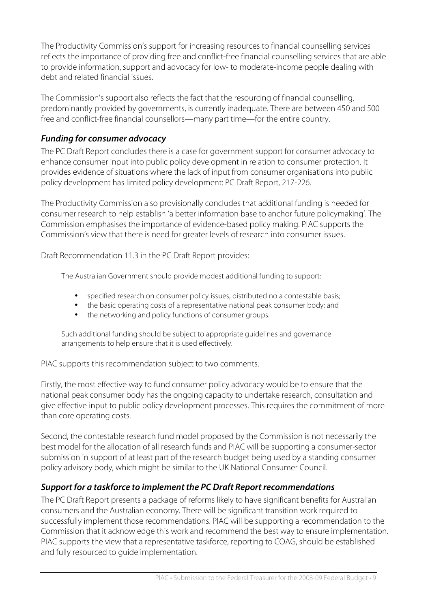The Productivity Commission's support for increasing resources to financial counselling services reflects the importance of providing free and conflict-free financial counselling services that are able to provide information, support and advocacy for low- to moderate-income people dealing with debt and related financial issues.

The Commission's support also reflects the fact that the resourcing of financial counselling, predominantly provided by governments, is currently inadequate. There are between 450 and 500 free and conflict-free financial counsellors—many part time—for the entire country.

#### **Funding for consumer advocacy**

The PC Draft Report concludes there is a case for government support for consumer advocacy to enhance consumer input into public policy development in relation to consumer protection. It provides evidence of situations where the lack of input from consumer organisations into public policy development has limited policy development: PC Draft Report, 217-226.

The Productivity Commission also provisionally concludes that additional funding is needed for consumer research to help establish 'a better information base to anchor future policymaking'. The Commission emphasises the importance of evidence-based policy making. PIAC supports the Commission's view that there is need for greater levels of research into consumer issues.

Draft Recommendation 11.3 in the PC Draft Report provides:

The Australian Government should provide modest additional funding to support:

- specified research on consumer policy issues, distributed no a contestable basis;
- the basic operating costs of a representative national peak consumer body; and
- the networking and policy functions of consumer groups.

Such additional funding should be subject to appropriate guidelines and governance arrangements to help ensure that it is used effectively.

PIAC supports this recommendation subject to two comments.

Firstly, the most effective way to fund consumer policy advocacy would be to ensure that the national peak consumer body has the ongoing capacity to undertake research, consultation and give effective input to public policy development processes. This requires the commitment of more than core operating costs.

Second, the contestable research fund model proposed by the Commission is not necessarily the best model for the allocation of all research funds and PIAC will be supporting a consumer-sector submission in support of at least part of the research budget being used by a standing consumer policy advisory body, which might be similar to the UK National Consumer Council.

#### **Support for a taskforce to implement the PC Draft Report recommendations**

The PC Draft Report presents a package of reforms likely to have significant benefits for Australian consumers and the Australian economy. There will be significant transition work required to successfully implement those recommendations. PIAC will be supporting a recommendation to the Commission that it acknowledge this work and recommend the best way to ensure implementation. PIAC supports the view that a representative taskforce, reporting to COAG, should be established and fully resourced to guide implementation.